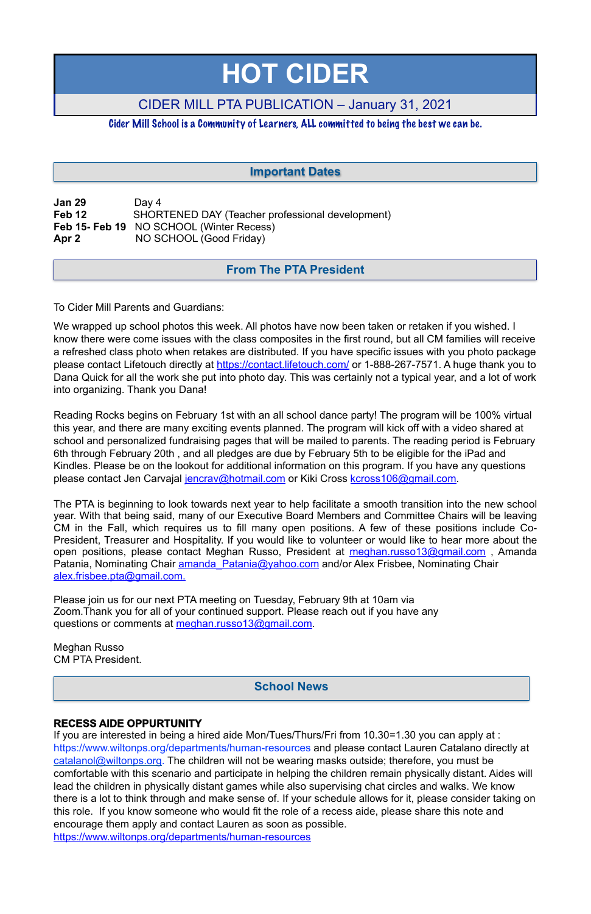| <b>Jan 29</b> | Day 4                                            |
|---------------|--------------------------------------------------|
| Feb 12        | SHORTENED DAY (Teacher professional development) |
|               | Feb 15- Feb 19 NO SCHOOL (Winter Recess)         |
| Apr 2         | NO SCHOOL (Good Friday)                          |

To Cider Mill Parents and Guardians:

Reading Rocks begins on February 1st with an all school dance party! The program will be 100% virtual this year, and there are many exciting events planned. The program will kick off with a video shared at school and personalized fundraising pages that will be mailed to parents. The reading period is February 6th through February 20th , and all pledges are due by February 5th to be eligible for the iPad and Kindles. Please be on the lookout for additional information on this program. If you have any questions please contact Jen Carvajal [jencrav@hotmail.com](mailto:jencrav@hotmail.com) or Kiki Cross [kcross106@gmail.com.](mailto:kcross106@gmail.com)

We wrapped up school photos this week. All photos have now been taken or retaken if you wished. I know there were come issues with the class composites in the first round, but all CM families will receive a refreshed class photo when retakes are distributed. If you have specific issues with you photo package please contact Lifetouch directly at <https://contact.lifetouch.com/> or 1-888-267-7571. A huge thank you to Dana Quick for all the work she put into photo day. This was certainly not a typical year, and a lot of work into organizing. Thank you Dana!

The PTA is beginning to look towards next year to help facilitate a smooth transition into the new school year. With that being said, many of our Executive Board Members and Committee Chairs will be leaving CM in the Fall, which requires us to fill many open positions. A few of these positions include Co-President, Treasurer and Hospitality. If you would like to volunteer or would like to hear more about the open positions, please contact Meghan Russo, President at meghan.russo13@gmail.com, Amanda Patania, Nominating Chair amanda Patania@yahoo.com and/or Alex Frisbee, Nominating Chair [alex.frisbee.pta@gmail.com.](mailto:alex.frisbee.pta@gmail.com)

Please join us for our next PTA meeting on Tuesday, February 9th at 10am via Zoom.Thank you for all of your continued support. Please reach out if you have any questions or comments at [meghan.russo13@gmail.com](mailto:meghan.russo13@gmail.com).

Meghan Russo CM PTA President.

### **RECESS AIDE OPPURTUNITY**

If you are interested in being a hired aide Mon/Tues/Thurs/Fri from 10.30=1.30 you can apply at : [https://www.wiltonps.org/departments/human-resources](https://www.wiltonps.org/departments/human-resources?fbclid=IwAR3TUVxBrbxg-pc-qi8vNYs1B7cVNLy0eo0eWHb_Ec4rm5JfvXLo5GGe2Fw) and please contact Lauren Catalano directly at [catalanol@wiltonps.org.](mailto:catalanol@wiltonps.org) The children will not be wearing masks outside; therefore, you must be comfortable with this scenario and participate in helping the children remain physically distant. Aides will lead the children in physically distant games while also supervising chat circles and walks. We know there is a lot to think through and make sense of. If your schedule allows for it, please consider taking on this role. If you know someone who would fit the role of a recess aide, please share this note and encourage them apply and contact Lauren as soon as possible.

[https://www.wiltonps.org/departments/human-resources](https://l.facebook.com/l.php?u=https%3A%2F%2Fwww.wiltonps.org%2Fdepartments%2Fhuman-resources%3Ffbclid%3DIwAR2A4FCNJ2PRz6saqACZxGQewdpueeLs8yA01V7fJf-h4rxef6eBr3va0mQ&h=AT35quouDc-gAkkL_UQZmnM6yuafnMfhRsXSVey1KWxqd-e2cb2LoyUJ2VwWnQTEbY3ydh0AehTco63atFeeYRDqaAEjKZALXaQWsjpzoxjEVgeZXuhaEeQvwLm9hFsBVg&__tn__=-UK-R&c%5B0%5D=AT0RJcBQtfzwnFAYG4OyjJLHDj5Xyg0m6ppVhAlM-uw6hp2WgexbkZlp8xaNC1zm391-PoLqVwu_j8QX5vFV0bL5BOnqnI8rQdoCjG7PAyX4mdjKXUjjyjBxJoy9lfKU2doW8JBqcQdUdp5UxjY2qEZANUroc9XCFxLgZopfCMfHMCHSySNYkY8jJU89yACoTalNR99W43fLeV2QLg)

# **HOT CIDER**

# CIDER MILL PTA PUBLICATION – January 31, 2021

Cider Mill School is a Community of Learners, ALL committed to being the best we can be.

# **From The PTA President**

# **Important Dates**

# **School News**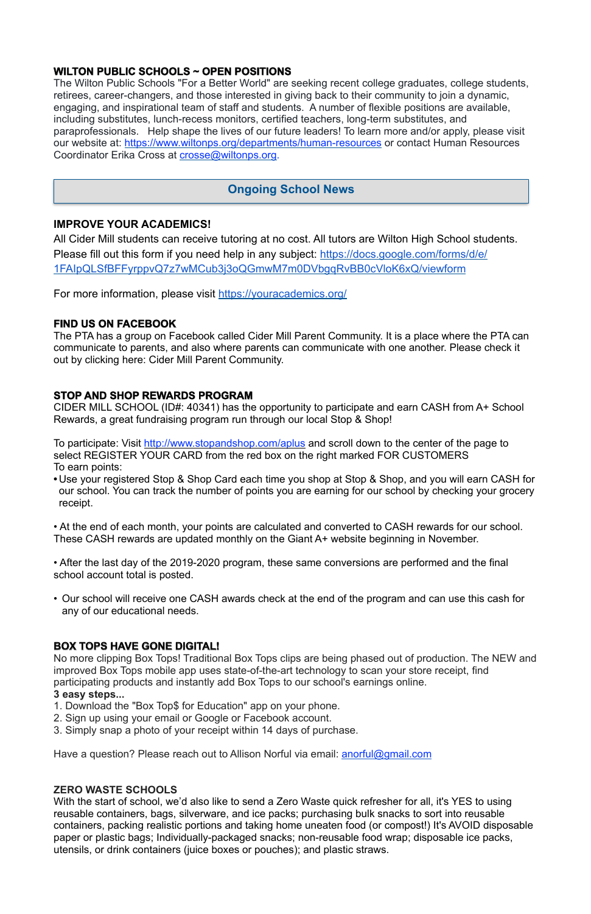## **WILTON PUBLIC SCHOOLS ~ OPEN POSITIONS**

The Wilton Public Schools "For a Better World" are seeking recent college graduates, college students, retirees, career-changers, and those interested in giving back to their community to join a dynamic, engaging, and inspirational team of staff and students. A number of flexible positions are available, including substitutes, lunch-recess monitors, certified teachers, long-term substitutes, and paraprofessionals. Help shape the lives of our future leaders! To learn more and/or apply, please visit our website at: <https://www.wiltonps.org/departments/human-resources> or contact Human Resources Coordinator Erika Cross at [crosse@wiltonps.org.](mailto:crosse@wiltonps.org)

## **IMPROVE YOUR ACADEMICS!**

All Cider Mill students can receive tutoring at no cost. All tutors are Wilton High School students. Please fill out this form if you need help in any subject: [https://docs.google.com/forms/d/e/](https://docs.google.com/forms/d/e/1FAIpQLSfBFFyrppvQ7z7wMCub3j3oQGmwM7m0DVbgqRvBB0cVloK6xQ/viewform) [1FAIpQLSfBFFyrppvQ7z7wMCub3j3oQGmwM7m0DVbgqRvBB0cVloK6xQ/viewform](https://docs.google.com/forms/d/e/1FAIpQLSfBFFyrppvQ7z7wMCub3j3oQGmwM7m0DVbgqRvBB0cVloK6xQ/viewform)

To participate: Visit<http://www.stopandshop.com/aplus> and scroll down to the center of the page to select REGISTER YOUR CARD from the red box on the right marked FOR CUSTOMERS To earn points:

For more information, please visit <https://youracademics.org/>

## **FIND US ON FACEBOOK**

The PTA has a group on Facebook called Cider Mill Parent Community. It is a place where the PTA can communicate to parents, and also where parents can communicate with one another. Please check it out by clicking here: [Cider Mill Parent Community.](https://www.facebook.com/groups/1168962513117647/)

# **STOP AND SHOP REWARDS PROGRAM**

CIDER MILL SCHOOL (ID#: 40341) has the opportunity to participate and earn CASH from A+ School Rewards, a great fundraising program run through our local Stop & Shop!

With the start of school, we'd also like to send a Zero Waste quick refresher for all, it's YES to using reusable containers, bags, silverware, and ice packs; purchasing bulk snacks to sort into reusable containers, packing realistic portions and taking home uneaten food (or compost!) It's AVOID disposable paper or plastic bags; Individually-packaged snacks; non-reusable food wrap; disposable ice packs, utensils, or drink containers (juice boxes or pouches); and plastic straws.

**•** Use your registered Stop & Shop Card each time you shop at Stop & Shop, and you will earn CASH for our school. You can track the number of points you are earning for our school by checking your grocery receipt.

• At the end of each month, your points are calculated and converted to CASH rewards for our school. These CASH rewards are updated monthly on the Giant A+ website beginning in November.

• After the last day of the 2019-2020 program, these same conversions are performed and the final school account total is posted.

• Our school will receive one CASH awards check at the end of the program and can use this cash for any of our educational needs.

## **BOX TOPS HAVE GONE DIGITAL!**

No more clipping Box Tops! Traditional Box Tops clips are being phased out of production. The NEW and improved Box Tops mobile app uses state-of-the-art technology to scan your store receipt, find

participating products and instantly add Box Tops to our school's earnings online.

#### **3 easy steps...**

- 1. Download the "Box Top\$ for Education" app on your phone.
- 2. Sign up using your email or Google or Facebook account.
- 3. Simply snap a photo of your receipt within 14 days of purchase.

Have a question? Please reach out to Allison Norful via email: [anorful@gmail.com](mailto:anorful@gmail.com)

## **ZERO WASTE SCHOOLS**

# **Ongoing School News**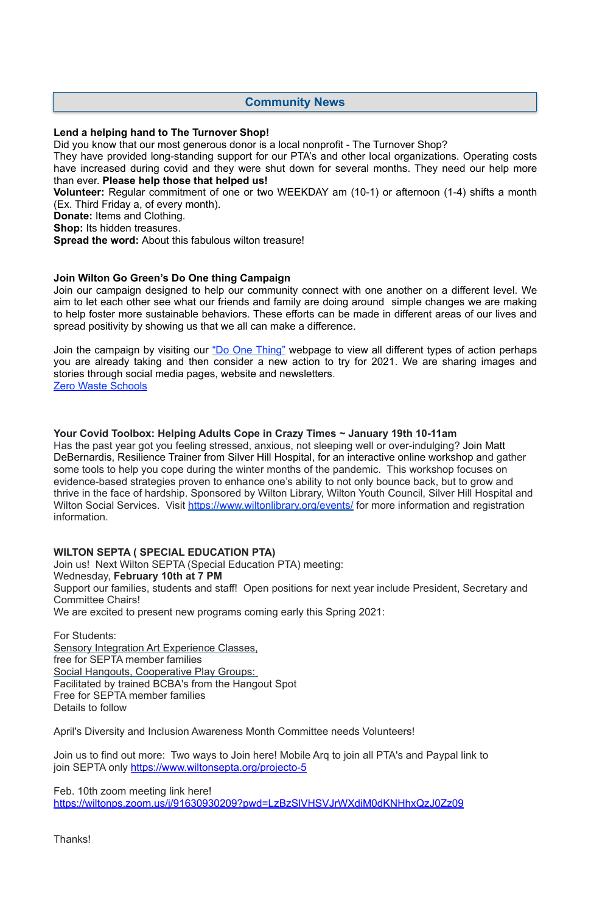## **Lend a helping hand to The Turnover Shop!**

Did you know that our most generous donor is a local nonprofit - The Turnover Shop?

They have provided long-standing support for our PTA's and other local organizations. Operating costs have increased during covid and they were shut down for several months. They need our help more than ever. **Please help those that helped us!** 

**Volunteer:** Regular commitment of one or two WEEKDAY am (10-1) or afternoon (1-4) shifts a month (Ex. Third Friday a, of every month).

**Donate:** Items and Clothing.

**Shop:** Its hidden treasures.

**Spread the word:** About this fabulous wilton treasure!

#### **Join Wilton Go Green's Do One thing Campaign**

Join the campaign by visiting our ["Do One Thing"](https://wiltongogreen.org/doonething/) webpage to view all different types of action perhaps you are already taking and then consider a new action to try for 2021. We are sharing images and stories through social media pages, website and newsletters. [Zero Waste Schools](https://sites.google.com/wiltonps.org/wiltonzerowaste/home)

Join our campaign designed to help our community connect with one another on a different level. We aim to let each other see what our friends and family are doing around simple changes we are making to help foster more sustainable behaviors. These efforts can be made in different areas of our lives and spread positivity by showing us that we all can make a difference.

Join us to find out more: Two ways to Join here! Mobile Arq to join all PTA's and Paypal link to join SEPTA only<https://www.wiltonsepta.org/projecto-5>

**Your Covid Toolbox: Helping Adults Cope in Crazy Times ~ January 19th 10-11am** 

Has the past year got you feeling stressed, anxious, not sleeping well or over-indulging? Join Matt DeBernardis, Resilience Trainer from Silver Hill Hospital, for an interactive online workshop and gather some tools to help you cope during the winter months of the pandemic. This workshop focuses on evidence-based strategies proven to enhance one's ability to not only bounce back, but to grow and thrive in the face of hardship. Sponsored by Wilton Library, Wilton Youth Council, Silver Hill Hospital and Wilton Social Services. Visit <https://www.wiltonlibrary.org/events/>for more information and registration information.

## **WILTON SEPTA ( SPECIAL EDUCATION PTA)**

Join us! Next Wilton SEPTA (Special Education PTA) meeting:

Wednesday, **February 10th at 7 PM**

Support our families, students and staff! Open positions for next year include President, Secretary and Committee Chairs!

We are excited to present new programs coming early this Spring 2021:

For Students: Sensory Integration Art Experience Classes, free for SEPTA member families Social Hangouts, Cooperative Play Groups: Facilitated by trained BCBA's from the Hangout Spot Free for SEPTA member families Details to follow

April's Diversity and Inclusion Awareness Month Committee needs Volunteers!

Feb. 10th zoom meeting link here! <https://wiltonps.zoom.us/j/91630930209?pwd=LzBzSlVHSVJrWXdiM0dKNHhxQzJ0Zz09>

Thanks!

# **Community News**